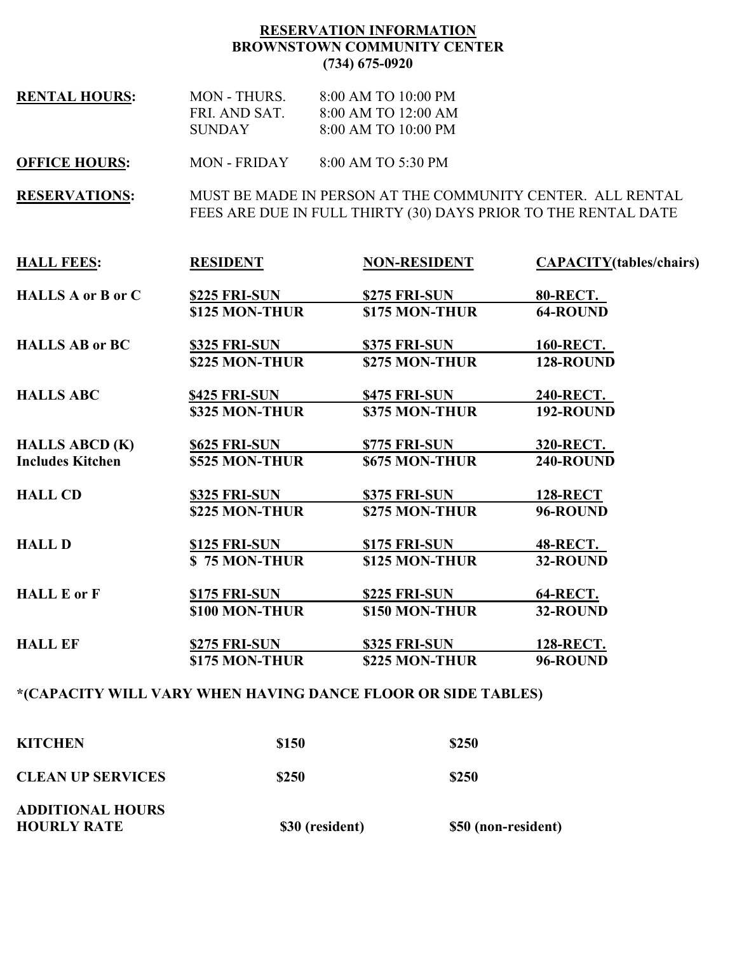## RESERVATION INFORMATION BROWNSTOWN COMMUNITY CENTER (734) 675-0920

RENTAL HOURS: MON - THURS. 8:00 AM TO 10:00 PM FRI. AND SAT. 8:00 AM TO 12:00 AM SUNDAY 8:00 AM TO 10:00 PM

OFFICE HOURS: MON - FRIDAY 8:00 AM TO 5:30 PM

RESERVATIONS: MUST BE MADE IN PERSON AT THE COMMUNITY CENTER. ALL RENTAL FEES ARE DUE IN FULL THIRTY (30) DAYS PRIOR TO THE RENTAL DATE

| <b>HALL FEES:</b>        | <b>RESIDENT</b>      | <b>NON-RESIDENT</b>                                                      | <b>CAPACITY</b> (tables/chairs) |
|--------------------------|----------------------|--------------------------------------------------------------------------|---------------------------------|
| <b>HALLS A or B or C</b> | <b>\$225 FRI-SUN</b> | \$275 FRI-SUN                                                            | <b>80-RECT.</b>                 |
|                          | \$125 MON-THUR       | \$175 MON-THUR                                                           | 64-ROUND                        |
| <b>HALLS AB or BC</b>    | <b>\$325 FRI-SUN</b> | \$375 FRI-SUN                                                            | <b>160-RECT.</b>                |
|                          | \$225 MON-THUR       | \$275 MON-THUR                                                           | 128-ROUND                       |
| <b>HALLS ABC</b>         | <b>\$425 FRI-SUN</b> | \$475 FRI-SUN                                                            | 240-RECT.                       |
|                          | \$325 MON-THUR       | \$375 MON-THUR                                                           | 192-ROUND                       |
| <b>HALLS ABCD (K)</b>    | <b>\$625 FRI-SUN</b> | \$775 FRI-SUN                                                            | <b>320-RECT.</b>                |
| <b>Includes Kitchen</b>  | \$525 MON-THUR       | \$675 MON-THUR                                                           | 240-ROUND                       |
| <b>HALL CD</b>           | <b>\$325 FRI-SUN</b> | \$375 FRI-SUN                                                            | <b>128-RECT</b>                 |
|                          | \$225 MON-THUR       | \$275 MON-THUR                                                           | 96-ROUND                        |
| <b>HALL D</b>            | <b>\$125 FRI-SUN</b> | \$175 FRI-SUN                                                            | <b>48-RECT.</b>                 |
|                          | \$75 MON-THUR        | \$125 MON-THUR                                                           | 32-ROUND                        |
| <b>HALL E or F</b>       | <b>\$175 FRI-SUN</b> | \$225 FRI-SUN                                                            | <b>64-RECT.</b>                 |
|                          | \$100 MON-THUR       | \$150 MON-THUR                                                           | 32-ROUND                        |
| <b>HALL EF</b>           | \$275 FRI-SUN        | <b>\$325 FRI-SUN</b>                                                     | 128-RECT.                       |
|                          | \$175 MON-THUR       | \$225 MON-THUR                                                           | 96-ROUND                        |
|                          |                      | <i>¥(CADA CITY)</i> WILL VADV WILEN ILAVING DANGE ELOOD OD GIDE TADI EG\ |                                 |

#### \*(CAPACITY WILL VARY WHEN HAVING DANCE FLOOR OR SIDE TABLES)

| <b>ADDITIONAL HOURS</b><br><b>HOURLY RATE</b> | \$30 (resident) | \$50 (non-resident) |
|-----------------------------------------------|-----------------|---------------------|
| <b>CLEAN UP SERVICES</b>                      | \$250           | \$250               |
| <b>KITCHEN</b>                                | \$150           | \$250               |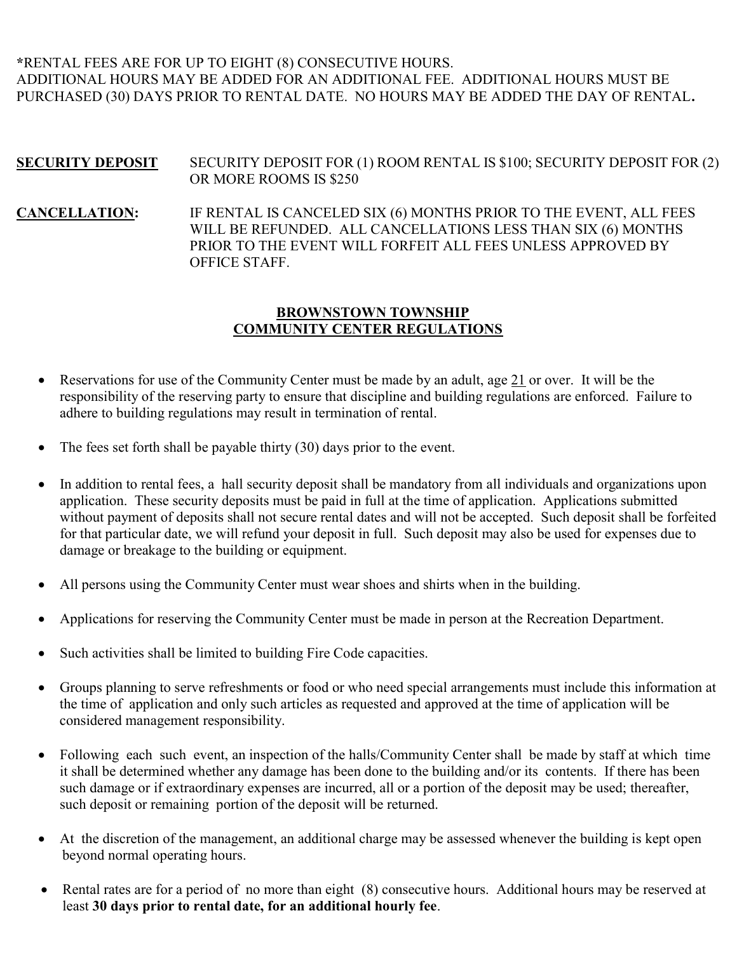# \*RENTAL FEES ARE FOR UP TO EIGHT (8) CONSECUTIVE HOURS. ADDITIONAL HOURS MAY BE ADDED FOR AN ADDITIONAL FEE. ADDITIONAL HOURS MUST BE PURCHASED (30) DAYS PRIOR TO RENTAL DATE. NO HOURS MAY BE ADDED THE DAY OF RENTAL.

## SECURITY DEPOSIT SECURITY DEPOSIT FOR (1) ROOM RENTAL IS \$100; SECURITY DEPOSIT FOR (2) OR MORE ROOMS IS \$250

CANCELLATION: IF RENTAL IS CANCELED SIX (6) MONTHS PRIOR TO THE EVENT, ALL FEES WILL BE REFUNDED. ALL CANCELLATIONS LESS THAN SIX (6) MONTHS PRIOR TO THE EVENT WILL FORFEIT ALL FEES UNLESS APPROVED BY OFFICE STAFF.

#### BROWNSTOWN TOWNSHIP COMMUNITY CENTER REGULATIONS

- Reservations for use of the Community Center must be made by an adult, age 21 or over. It will be the responsibility of the reserving party to ensure that discipline and building regulations are enforced. Failure to adhere to building regulations may result in termination of rental.
- The fees set forth shall be payable thirty (30) days prior to the event.
- In addition to rental fees, a hall security deposit shall be mandatory from all individuals and organizations upon application. These security deposits must be paid in full at the time of application. Applications submitted without payment of deposits shall not secure rental dates and will not be accepted. Such deposit shall be forfeited for that particular date, we will refund your deposit in full. Such deposit may also be used for expenses due to damage or breakage to the building or equipment.
- All persons using the Community Center must wear shoes and shirts when in the building.
- Applications for reserving the Community Center must be made in person at the Recreation Department.
- Such activities shall be limited to building Fire Code capacities.
- Groups planning to serve refreshments or food or who need special arrangements must include this information at the time of application and only such articles as requested and approved at the time of application will be considered management responsibility.
- Following each such event, an inspection of the halls/Community Center shall be made by staff at which time it shall be determined whether any damage has been done to the building and/or its contents. If there has been such damage or if extraordinary expenses are incurred, all or a portion of the deposit may be used; thereafter, such deposit or remaining portion of the deposit will be returned.
- At the discretion of the management, an additional charge may be assessed whenever the building is kept open beyond normal operating hours.
- Rental rates are for a period of no more than eight (8) consecutive hours. Additional hours may be reserved at least 30 days prior to rental date, for an additional hourly fee.